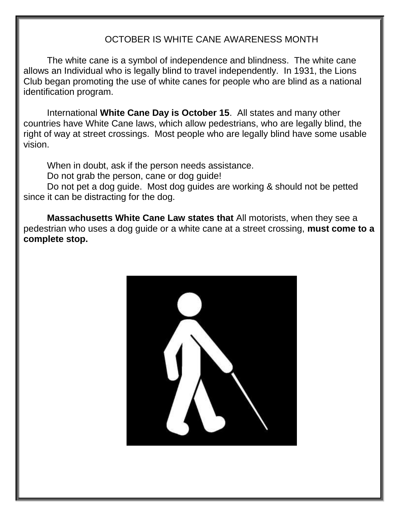#### OCTOBER IS WHITE CANE AWARENESS MONTH

The white cane is a symbol of independence and blindness. The white cane allows an Individual who is legally blind to travel independently. In 1931, the Lions Club began promoting the use of white canes for people who are blind as a national identification program.

International **White Cane Day is October 15**. All states and many other countries have White Cane laws, which allow pedestrians, who are legally blind, the right of way at street crossings. Most people who are legally blind have some usable vision.

When in doubt, ask if the person needs assistance.

Do not grab the person, cane or dog guide!

Do not pet a dog guide. Most dog guides are working & should not be petted since it can be distracting for the dog.

**Massachusetts White Cane Law states that** All motorists, when they see a pedestrian who uses a dog guide or a white cane at a street crossing, **must come to a complete stop.**

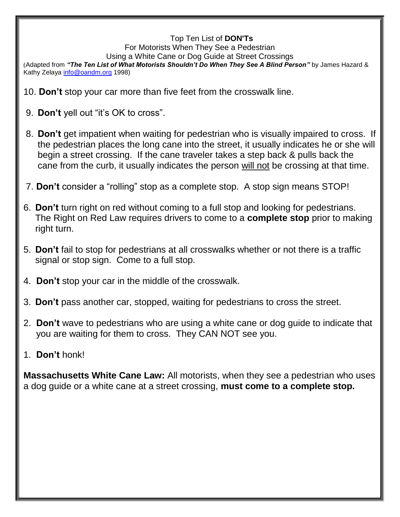#### Top Ten List of **DON'Ts**

For Motorists When They See a Pedestrian

Using a White Cane or Dog Guide at Street Crossings

(Adapted from *"The Ten List of What Motorists Shouldn't Do When They See A Blind Person"* by James Hazard & Kathy Zelaya [info@oandm.org](mailto:info@oandm.org) 1998)

- 10. **Don't** stop your car more than five feet from the crosswalk line.
- 9. **Don't** yell out "it's OK to cross".
- 8. **Don't** get impatient when waiting for pedestrian who is visually impaired to cross. If the pedestrian places the long cane into the street, it usually indicates he or she will begin a street crossing. If the cane traveler takes a step back & pulls back the cane from the curb, it usually indicates the person will not be crossing at that time.
- 7. **Don't** consider a "rolling" stop as a complete stop. A stop sign means STOP!
- 6. **Don't** turn right on red without coming to a full stop and looking for pedestrians. The Right on Red Law requires drivers to come to a **complete stop** prior to making right turn.
- 5. **Don't** fail to stop for pedestrians at all crosswalks whether or not there is a traffic signal or stop sign. Come to a full stop.
- 4. **Don't** stop your car in the middle of the crosswalk.
- 3. **Don't** pass another car, stopped, waiting for pedestrians to cross the street.
- 2. **Don't** wave to pedestrians who are using a white cane or dog guide to indicate that you are waiting for them to cross. They CAN NOT see you.

#### 1. **Don't** honk!

**Massachusetts White Cane Law:** All motorists, when they see a pedestrian who uses a dog guide or a white cane at a street crossing, **must come to a complete stop.**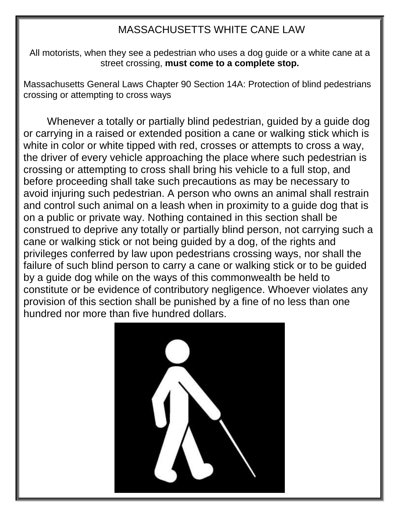#### MASSACHUSETTS WHITE CANE LAW

All motorists, when they see a pedestrian who uses a dog guide or a white cane at a street crossing, **must come to a complete stop.**

Massachusetts General Laws Chapter 90 Section 14A: Protection of blind pedestrians crossing or attempting to cross ways

Whenever a totally or partially blind pedestrian, guided by a guide dog or carrying in a raised or extended position a cane or walking stick which is white in color or white tipped with red, crosses or attempts to cross a way, the driver of every vehicle approaching the place where such pedestrian is crossing or attempting to cross shall bring his vehicle to a full stop, and before proceeding shall take such precautions as may be necessary to avoid injuring such pedestrian. A person who owns an animal shall restrain and control such animal on a leash when in proximity to a guide dog that is on a public or private way. Nothing contained in this section shall be construed to deprive any totally or partially blind person, not carrying such a cane or walking stick or not being guided by a dog, of the rights and privileges conferred by law upon pedestrians crossing ways, nor shall the failure of such blind person to carry a cane or walking stick or to be guided by a guide dog while on the ways of this commonwealth be held to constitute or be evidence of contributory negligence. Whoever violates any provision of this section shall be punished by a fine of no less than one hundred nor more than five hundred dollars.

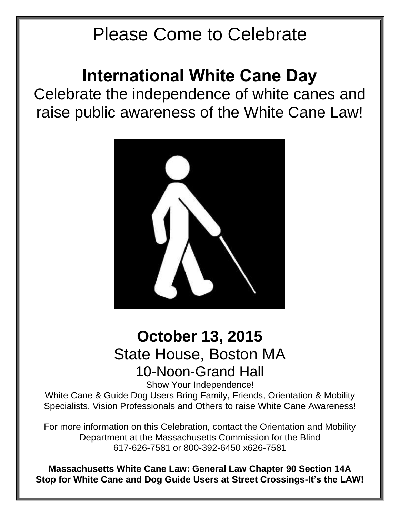## Please Come to Celebrate

### **International White Cane Day**

Celebrate the independence of white canes and raise public awareness of the White Cane Law!



### **October 13, 2015** State House, Boston MA 10-Noon-Grand Hall

Show Your Independence!

White Cane & Guide Dog Users Bring Family, Friends, Orientation & Mobility Specialists, Vision Professionals and Others to raise White Cane Awareness!

For more information on this Celebration, contact the Orientation and Mobility Department at the Massachusetts Commission for the Blind 617-626-7581 or 800-392-6450 x626-7581

**Massachusetts White Cane Law: General Law Chapter 90 Section 14A Stop for White Cane and Dog Guide Users at Street Crossings-It's the LAW!**